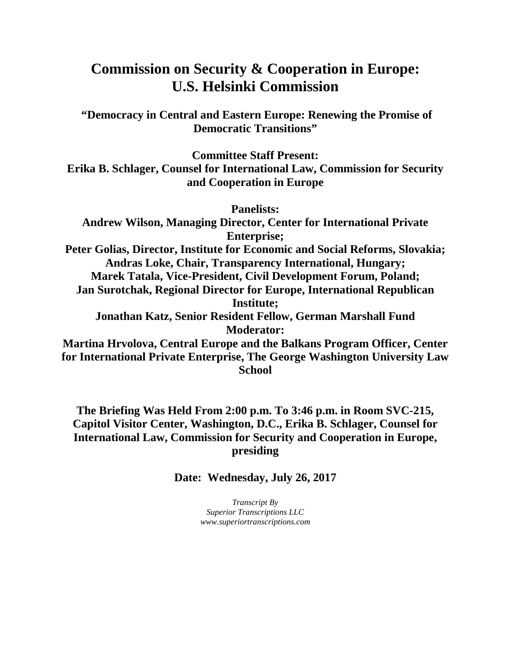## **Commission on Security & Cooperation in Europe: U.S. Helsinki Commission**

**"Democracy in Central and Eastern Europe: Renewing the Promise of Democratic Transitions"**

**Committee Staff Present: Erika B. Schlager, Counsel for International Law, Commission for Security and Cooperation in Europe**

**Panelists:**

**Andrew Wilson, Managing Director, Center for International Private Enterprise; Peter Golias, Director, Institute for Economic and Social Reforms, Slovakia; Andras Loke, Chair, Transparency International, Hungary; Marek Tatala, Vice-President, Civil Development Forum, Poland; Jan Surotchak, Regional Director for Europe, International Republican Institute; Jonathan Katz, Senior Resident Fellow, German Marshall Fund Moderator: Martina Hrvolova, Central Europe and the Balkans Program Officer, Center for International Private Enterprise, The George Washington University Law School**

**The Briefing Was Held From 2:00 p.m. To 3:46 p.m. in Room SVC-215, Capitol Visitor Center, Washington, D.C., Erika B. Schlager, Counsel for International Law, Commission for Security and Cooperation in Europe, presiding**

**Date: Wednesday, July 26, 2017**

*Transcript By Superior Transcriptions LLC www.superiortranscriptions.com*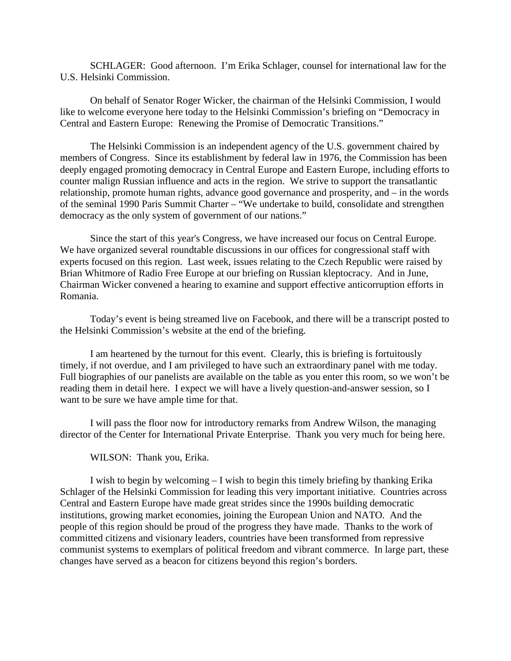SCHLAGER: Good afternoon. I'm Erika Schlager, counsel for international law for the U.S. Helsinki Commission.

On behalf of Senator Roger Wicker, the chairman of the Helsinki Commission, I would like to welcome everyone here today to the Helsinki Commission's briefing on "Democracy in Central and Eastern Europe: Renewing the Promise of Democratic Transitions."

The Helsinki Commission is an independent agency of the U.S. government chaired by members of Congress. Since its establishment by federal law in 1976, the Commission has been deeply engaged promoting democracy in Central Europe and Eastern Europe, including efforts to counter malign Russian influence and acts in the region. We strive to support the transatlantic relationship, promote human rights, advance good governance and prosperity, and – in the words of the seminal 1990 Paris Summit Charter – "We undertake to build, consolidate and strengthen democracy as the only system of government of our nations."

Since the start of this year's Congress, we have increased our focus on Central Europe. We have organized several roundtable discussions in our offices for congressional staff with experts focused on this region. Last week, issues relating to the Czech Republic were raised by Brian Whitmore of Radio Free Europe at our briefing on Russian kleptocracy. And in June, Chairman Wicker convened a hearing to examine and support effective anticorruption efforts in Romania.

Today's event is being streamed live on Facebook, and there will be a transcript posted to the Helsinki Commission's website at the end of the briefing.

I am heartened by the turnout for this event. Clearly, this is briefing is fortuitously timely, if not overdue, and I am privileged to have such an extraordinary panel with me today. Full biographies of our panelists are available on the table as you enter this room, so we won't be reading them in detail here. I expect we will have a lively question-and-answer session, so I want to be sure we have ample time for that.

I will pass the floor now for introductory remarks from Andrew Wilson, the managing director of the Center for International Private Enterprise. Thank you very much for being here.

WILSON: Thank you, Erika.

I wish to begin by welcoming – I wish to begin this timely briefing by thanking Erika Schlager of the Helsinki Commission for leading this very important initiative. Countries across Central and Eastern Europe have made great strides since the 1990s building democratic institutions, growing market economies, joining the European Union and NATO. And the people of this region should be proud of the progress they have made. Thanks to the work of committed citizens and visionary leaders, countries have been transformed from repressive communist systems to exemplars of political freedom and vibrant commerce. In large part, these changes have served as a beacon for citizens beyond this region's borders.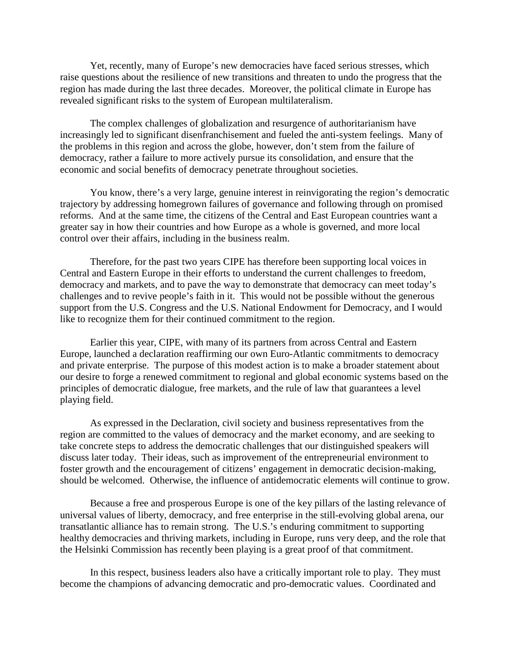Yet, recently, many of Europe's new democracies have faced serious stresses, which raise questions about the resilience of new transitions and threaten to undo the progress that the region has made during the last three decades. Moreover, the political climate in Europe has revealed significant risks to the system of European multilateralism.

The complex challenges of globalization and resurgence of authoritarianism have increasingly led to significant disenfranchisement and fueled the anti-system feelings. Many of the problems in this region and across the globe, however, don't stem from the failure of democracy, rather a failure to more actively pursue its consolidation, and ensure that the economic and social benefits of democracy penetrate throughout societies.

You know, there's a very large, genuine interest in reinvigorating the region's democratic trajectory by addressing homegrown failures of governance and following through on promised reforms. And at the same time, the citizens of the Central and East European countries want a greater say in how their countries and how Europe as a whole is governed, and more local control over their affairs, including in the business realm.

Therefore, for the past two years CIPE has therefore been supporting local voices in Central and Eastern Europe in their efforts to understand the current challenges to freedom, democracy and markets, and to pave the way to demonstrate that democracy can meet today's challenges and to revive people's faith in it. This would not be possible without the generous support from the U.S. Congress and the U.S. National Endowment for Democracy, and I would like to recognize them for their continued commitment to the region.

Earlier this year, CIPE, with many of its partners from across Central and Eastern Europe, launched a declaration reaffirming our own Euro-Atlantic commitments to democracy and private enterprise. The purpose of this modest action is to make a broader statement about our desire to forge a renewed commitment to regional and global economic systems based on the principles of democratic dialogue, free markets, and the rule of law that guarantees a level playing field.

As expressed in the Declaration, civil society and business representatives from the region are committed to the values of democracy and the market economy, and are seeking to take concrete steps to address the democratic challenges that our distinguished speakers will discuss later today. Their ideas, such as improvement of the entrepreneurial environment to foster growth and the encouragement of citizens' engagement in democratic decision-making, should be welcomed. Otherwise, the influence of antidemocratic elements will continue to grow.

Because a free and prosperous Europe is one of the key pillars of the lasting relevance of universal values of liberty, democracy, and free enterprise in the still-evolving global arena, our transatlantic alliance has to remain strong. The U.S.'s enduring commitment to supporting healthy democracies and thriving markets, including in Europe, runs very deep, and the role that the Helsinki Commission has recently been playing is a great proof of that commitment.

In this respect, business leaders also have a critically important role to play. They must become the champions of advancing democratic and pro-democratic values. Coordinated and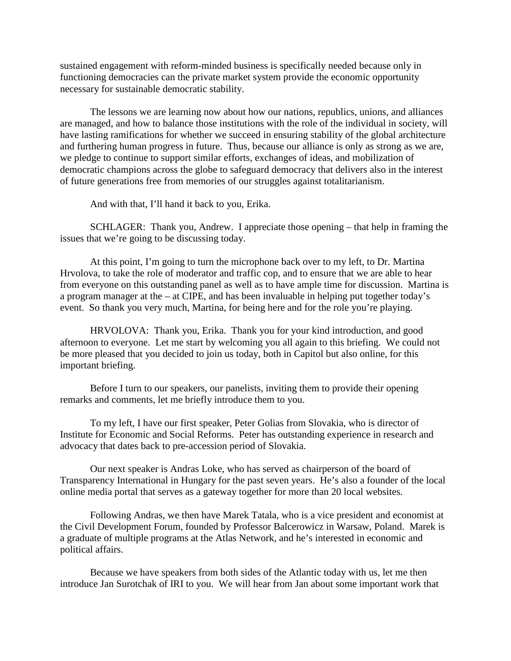sustained engagement with reform-minded business is specifically needed because only in functioning democracies can the private market system provide the economic opportunity necessary for sustainable democratic stability.

The lessons we are learning now about how our nations, republics, unions, and alliances are managed, and how to balance those institutions with the role of the individual in society, will have lasting ramifications for whether we succeed in ensuring stability of the global architecture and furthering human progress in future. Thus, because our alliance is only as strong as we are, we pledge to continue to support similar efforts, exchanges of ideas, and mobilization of democratic champions across the globe to safeguard democracy that delivers also in the interest of future generations free from memories of our struggles against totalitarianism.

And with that, I'll hand it back to you, Erika.

SCHLAGER: Thank you, Andrew. I appreciate those opening – that help in framing the issues that we're going to be discussing today.

At this point, I'm going to turn the microphone back over to my left, to Dr. Martina Hrvolova, to take the role of moderator and traffic cop, and to ensure that we are able to hear from everyone on this outstanding panel as well as to have ample time for discussion. Martina is a program manager at the  $-$  at CIPE, and has been invaluable in helping put together today's event. So thank you very much, Martina, for being here and for the role you're playing.

HRVOLOVA: Thank you, Erika. Thank you for your kind introduction, and good afternoon to everyone. Let me start by welcoming you all again to this briefing. We could not be more pleased that you decided to join us today, both in Capitol but also online, for this important briefing.

Before I turn to our speakers, our panelists, inviting them to provide their opening remarks and comments, let me briefly introduce them to you.

To my left, I have our first speaker, Peter Golias from Slovakia, who is director of Institute for Economic and Social Reforms. Peter has outstanding experience in research and advocacy that dates back to pre-accession period of Slovakia.

Our next speaker is Andras Loke, who has served as chairperson of the board of Transparency International in Hungary for the past seven years. He's also a founder of the local online media portal that serves as a gateway together for more than 20 local websites.

Following Andras, we then have Marek Tatala, who is a vice president and economist at the Civil Development Forum, founded by Professor Balcerowicz in Warsaw, Poland. Marek is a graduate of multiple programs at the Atlas Network, and he's interested in economic and political affairs.

Because we have speakers from both sides of the Atlantic today with us, let me then introduce Jan Surotchak of IRI to you. We will hear from Jan about some important work that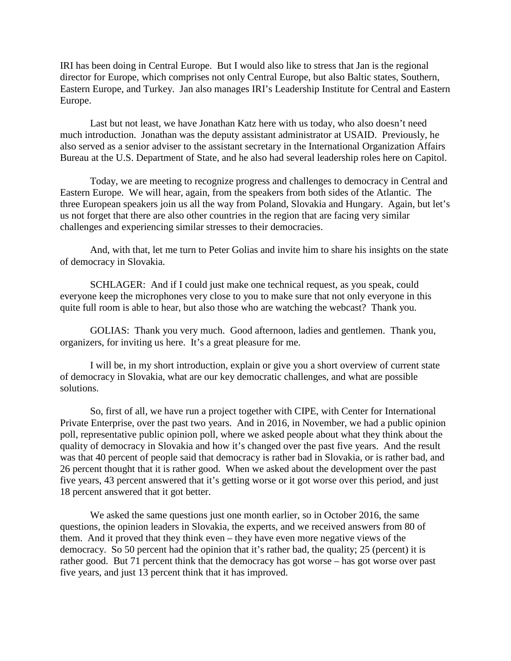IRI has been doing in Central Europe. But I would also like to stress that Jan is the regional director for Europe, which comprises not only Central Europe, but also Baltic states, Southern, Eastern Europe, and Turkey. Jan also manages IRI's Leadership Institute for Central and Eastern Europe.

Last but not least, we have Jonathan Katz here with us today, who also doesn't need much introduction. Jonathan was the deputy assistant administrator at USAID. Previously, he also served as a senior adviser to the assistant secretary in the International Organization Affairs Bureau at the U.S. Department of State, and he also had several leadership roles here on Capitol.

Today, we are meeting to recognize progress and challenges to democracy in Central and Eastern Europe. We will hear, again, from the speakers from both sides of the Atlantic. The three European speakers join us all the way from Poland, Slovakia and Hungary. Again, but let's us not forget that there are also other countries in the region that are facing very similar challenges and experiencing similar stresses to their democracies.

And, with that, let me turn to Peter Golias and invite him to share his insights on the state of democracy in Slovakia.

SCHLAGER: And if I could just make one technical request, as you speak, could everyone keep the microphones very close to you to make sure that not only everyone in this quite full room is able to hear, but also those who are watching the webcast? Thank you.

GOLIAS: Thank you very much. Good afternoon, ladies and gentlemen. Thank you, organizers, for inviting us here. It's a great pleasure for me.

I will be, in my short introduction, explain or give you a short overview of current state of democracy in Slovakia, what are our key democratic challenges, and what are possible solutions.

So, first of all, we have run a project together with CIPE, with Center for International Private Enterprise, over the past two years. And in 2016, in November, we had a public opinion poll, representative public opinion poll, where we asked people about what they think about the quality of democracy in Slovakia and how it's changed over the past five years. And the result was that 40 percent of people said that democracy is rather bad in Slovakia, or is rather bad, and 26 percent thought that it is rather good. When we asked about the development over the past five years, 43 percent answered that it's getting worse or it got worse over this period, and just 18 percent answered that it got better.

We asked the same questions just one month earlier, so in October 2016, the same questions, the opinion leaders in Slovakia, the experts, and we received answers from 80 of them. And it proved that they think even – they have even more negative views of the democracy. So 50 percent had the opinion that it's rather bad, the quality; 25 (percent) it is rather good. But 71 percent think that the democracy has got worse – has got worse over past five years, and just 13 percent think that it has improved.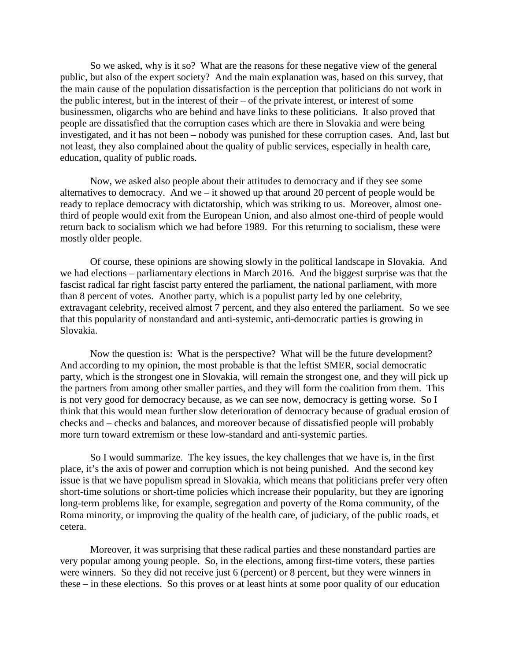So we asked, why is it so? What are the reasons for these negative view of the general public, but also of the expert society? And the main explanation was, based on this survey, that the main cause of the population dissatisfaction is the perception that politicians do not work in the public interest, but in the interest of their – of the private interest, or interest of some businessmen, oligarchs who are behind and have links to these politicians. It also proved that people are dissatisfied that the corruption cases which are there in Slovakia and were being investigated, and it has not been – nobody was punished for these corruption cases. And, last but not least, they also complained about the quality of public services, especially in health care, education, quality of public roads.

Now, we asked also people about their attitudes to democracy and if they see some alternatives to democracy. And we – it showed up that around 20 percent of people would be ready to replace democracy with dictatorship, which was striking to us. Moreover, almost onethird of people would exit from the European Union, and also almost one-third of people would return back to socialism which we had before 1989. For this returning to socialism, these were mostly older people.

Of course, these opinions are showing slowly in the political landscape in Slovakia. And we had elections – parliamentary elections in March 2016. And the biggest surprise was that the fascist radical far right fascist party entered the parliament, the national parliament, with more than 8 percent of votes. Another party, which is a populist party led by one celebrity, extravagant celebrity, received almost 7 percent, and they also entered the parliament. So we see that this popularity of nonstandard and anti-systemic, anti-democratic parties is growing in Slovakia.

Now the question is: What is the perspective? What will be the future development? And according to my opinion, the most probable is that the leftist SMER, social democratic party, which is the strongest one in Slovakia, will remain the strongest one, and they will pick up the partners from among other smaller parties, and they will form the coalition from them. This is not very good for democracy because, as we can see now, democracy is getting worse. So I think that this would mean further slow deterioration of democracy because of gradual erosion of checks and – checks and balances, and moreover because of dissatisfied people will probably more turn toward extremism or these low-standard and anti-systemic parties.

So I would summarize. The key issues, the key challenges that we have is, in the first place, it's the axis of power and corruption which is not being punished. And the second key issue is that we have populism spread in Slovakia, which means that politicians prefer very often short-time solutions or short-time policies which increase their popularity, but they are ignoring long-term problems like, for example, segregation and poverty of the Roma community, of the Roma minority, or improving the quality of the health care, of judiciary, of the public roads, et cetera.

Moreover, it was surprising that these radical parties and these nonstandard parties are very popular among young people. So, in the elections, among first-time voters, these parties were winners. So they did not receive just 6 (percent) or 8 percent, but they were winners in these – in these elections. So this proves or at least hints at some poor quality of our education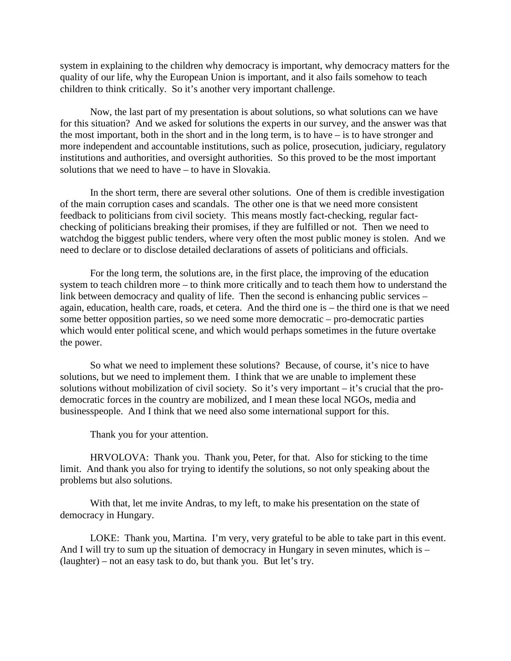system in explaining to the children why democracy is important, why democracy matters for the quality of our life, why the European Union is important, and it also fails somehow to teach children to think critically. So it's another very important challenge.

Now, the last part of my presentation is about solutions, so what solutions can we have for this situation? And we asked for solutions the experts in our survey, and the answer was that the most important, both in the short and in the long term, is to have – is to have stronger and more independent and accountable institutions, such as police, prosecution, judiciary, regulatory institutions and authorities, and oversight authorities. So this proved to be the most important solutions that we need to have – to have in Slovakia.

In the short term, there are several other solutions. One of them is credible investigation of the main corruption cases and scandals. The other one is that we need more consistent feedback to politicians from civil society. This means mostly fact-checking, regular factchecking of politicians breaking their promises, if they are fulfilled or not. Then we need to watchdog the biggest public tenders, where very often the most public money is stolen. And we need to declare or to disclose detailed declarations of assets of politicians and officials.

For the long term, the solutions are, in the first place, the improving of the education system to teach children more – to think more critically and to teach them how to understand the link between democracy and quality of life. Then the second is enhancing public services – again, education, health care, roads, et cetera. And the third one is – the third one is that we need some better opposition parties, so we need some more democratic – pro-democratic parties which would enter political scene, and which would perhaps sometimes in the future overtake the power.

So what we need to implement these solutions? Because, of course, it's nice to have solutions, but we need to implement them. I think that we are unable to implement these solutions without mobilization of civil society. So it's very important – it's crucial that the prodemocratic forces in the country are mobilized, and I mean these local NGOs, media and businesspeople. And I think that we need also some international support for this.

Thank you for your attention.

HRVOLOVA: Thank you. Thank you, Peter, for that. Also for sticking to the time limit. And thank you also for trying to identify the solutions, so not only speaking about the problems but also solutions.

With that, let me invite Andras, to my left, to make his presentation on the state of democracy in Hungary.

LOKE: Thank you, Martina. I'm very, very grateful to be able to take part in this event. And I will try to sum up the situation of democracy in Hungary in seven minutes, which is – (laughter) – not an easy task to do, but thank you. But let's try.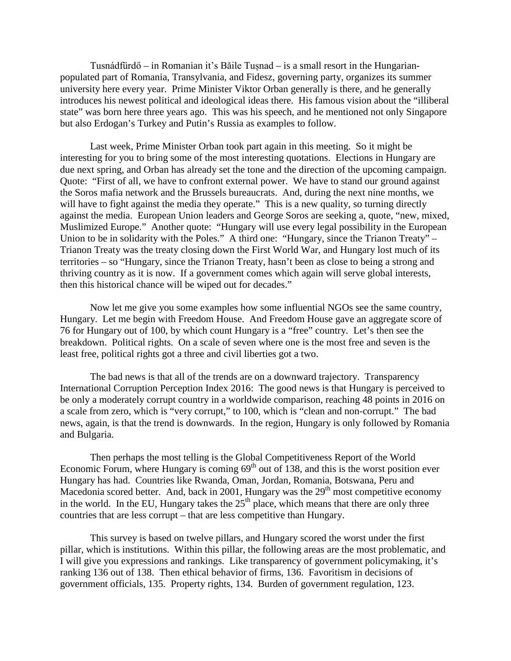Tusnádfürdő – in Romanian it's Băile Tușnad – is a small resort in the Hungarianpopulated part of Romania, Transylvania, and Fidesz, governing party, organizes its summer university here every year. Prime Minister Viktor Orban generally is there, and he generally introduces his newest political and ideological ideas there. His famous vision about the "illiberal state" was born here three years ago. This was his speech, and he mentioned not only Singapore but also Erdogan's Turkey and Putin's Russia as examples to follow.

Last week, Prime Minister Orban took part again in this meeting. So it might be interesting for you to bring some of the most interesting quotations. Elections in Hungary are due next spring, and Orban has already set the tone and the direction of the upcoming campaign. Quote: "First of all, we have to confront external power. We have to stand our ground against the Soros mafia network and the Brussels bureaucrats. And, during the next nine months, we will have to fight against the media they operate." This is a new quality, so turning directly against the media. European Union leaders and George Soros are seeking a, quote, "new, mixed, Muslimized Europe." Another quote: "Hungary will use every legal possibility in the European Union to be in solidarity with the Poles." A third one: "Hungary, since the Trianon Treaty" – Trianon Treaty was the treaty closing down the First World War, and Hungary lost much of its territories – so "Hungary, since the Trianon Treaty, hasn't been as close to being a strong and thriving country as it is now. If a government comes which again will serve global interests, then this historical chance will be wiped out for decades."

Now let me give you some examples how some influential NGOs see the same country, Hungary. Let me begin with Freedom House. And Freedom House gave an aggregate score of 76 for Hungary out of 100, by which count Hungary is a "free" country. Let's then see the breakdown. Political rights. On a scale of seven where one is the most free and seven is the least free, political rights got a three and civil liberties got a two.

The bad news is that all of the trends are on a downward trajectory. Transparency International Corruption Perception Index 2016: The good news is that Hungary is perceived to be only a moderately corrupt country in a worldwide comparison, reaching 48 points in 2016 on a scale from zero, which is "very corrupt," to 100, which is "clean and non-corrupt." The bad news, again, is that the trend is downwards. In the region, Hungary is only followed by Romania and Bulgaria.

Then perhaps the most telling is the Global Competitiveness Report of the World Economic Forum, where Hungary is coming  $69<sup>th</sup>$  out of 138, and this is the worst position ever Hungary has had. Countries like Rwanda, Oman, Jordan, Romania, Botswana, Peru and Macedonia scored better. And, back in 2001, Hungary was the  $29<sup>th</sup>$  most competitive economy in the world. In the EU, Hungary takes the  $25<sup>th</sup>$  place, which means that there are only three countries that are less corrupt – that are less competitive than Hungary.

This survey is based on twelve pillars, and Hungary scored the worst under the first pillar, which is institutions. Within this pillar, the following areas are the most problematic, and I will give you expressions and rankings. Like transparency of government policymaking, it's ranking 136 out of 138. Then ethical behavior of firms, 136. Favoritism in decisions of government officials, 135. Property rights, 134. Burden of government regulation, 123.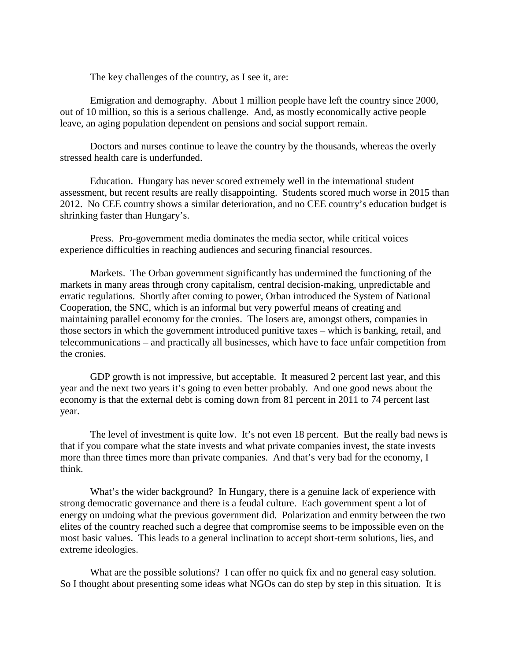The key challenges of the country, as I see it, are:

Emigration and demography. About 1 million people have left the country since 2000, out of 10 million, so this is a serious challenge. And, as mostly economically active people leave, an aging population dependent on pensions and social support remain.

Doctors and nurses continue to leave the country by the thousands, whereas the overly stressed health care is underfunded.

Education. Hungary has never scored extremely well in the international student assessment, but recent results are really disappointing. Students scored much worse in 2015 than 2012. No CEE country shows a similar deterioration, and no CEE country's education budget is shrinking faster than Hungary's.

Press. Pro-government media dominates the media sector, while critical voices experience difficulties in reaching audiences and securing financial resources.

Markets. The Orban government significantly has undermined the functioning of the markets in many areas through crony capitalism, central decision-making, unpredictable and erratic regulations. Shortly after coming to power, Orban introduced the System of National Cooperation, the SNC, which is an informal but very powerful means of creating and maintaining parallel economy for the cronies. The losers are, amongst others, companies in those sectors in which the government introduced punitive taxes – which is banking, retail, and telecommunications – and practically all businesses, which have to face unfair competition from the cronies.

GDP growth is not impressive, but acceptable. It measured 2 percent last year, and this year and the next two years it's going to even better probably. And one good news about the economy is that the external debt is coming down from 81 percent in 2011 to 74 percent last year.

The level of investment is quite low. It's not even 18 percent. But the really bad news is that if you compare what the state invests and what private companies invest, the state invests more than three times more than private companies. And that's very bad for the economy, I think.

What's the wider background? In Hungary, there is a genuine lack of experience with strong democratic governance and there is a feudal culture. Each government spent a lot of energy on undoing what the previous government did. Polarization and enmity between the two elites of the country reached such a degree that compromise seems to be impossible even on the most basic values. This leads to a general inclination to accept short-term solutions, lies, and extreme ideologies.

What are the possible solutions? I can offer no quick fix and no general easy solution. So I thought about presenting some ideas what NGOs can do step by step in this situation. It is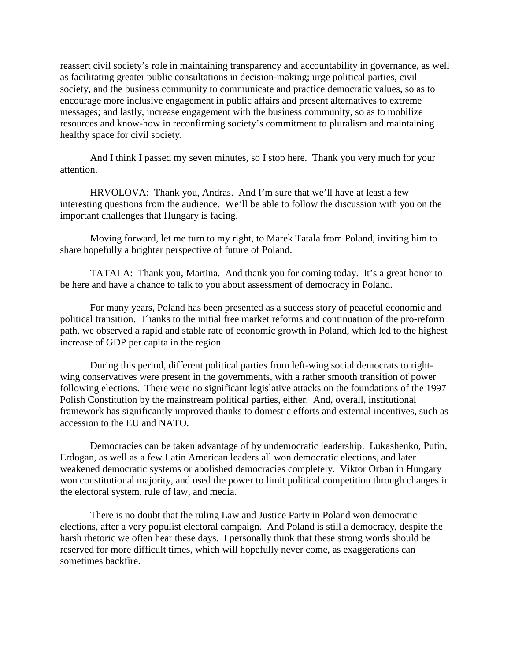reassert civil society's role in maintaining transparency and accountability in governance, as well as facilitating greater public consultations in decision-making; urge political parties, civil society, and the business community to communicate and practice democratic values, so as to encourage more inclusive engagement in public affairs and present alternatives to extreme messages; and lastly, increase engagement with the business community, so as to mobilize resources and know-how in reconfirming society's commitment to pluralism and maintaining healthy space for civil society.

And I think I passed my seven minutes, so I stop here. Thank you very much for your attention.

HRVOLOVA: Thank you, Andras. And I'm sure that we'll have at least a few interesting questions from the audience. We'll be able to follow the discussion with you on the important challenges that Hungary is facing.

Moving forward, let me turn to my right, to Marek Tatala from Poland, inviting him to share hopefully a brighter perspective of future of Poland.

TATALA: Thank you, Martina. And thank you for coming today. It's a great honor to be here and have a chance to talk to you about assessment of democracy in Poland.

For many years, Poland has been presented as a success story of peaceful economic and political transition. Thanks to the initial free market reforms and continuation of the pro-reform path, we observed a rapid and stable rate of economic growth in Poland, which led to the highest increase of GDP per capita in the region.

During this period, different political parties from left-wing social democrats to rightwing conservatives were present in the governments, with a rather smooth transition of power following elections. There were no significant legislative attacks on the foundations of the 1997 Polish Constitution by the mainstream political parties, either. And, overall, institutional framework has significantly improved thanks to domestic efforts and external incentives, such as accession to the EU and NATO.

Democracies can be taken advantage of by undemocratic leadership. Lukashenko, Putin, Erdogan, as well as a few Latin American leaders all won democratic elections, and later weakened democratic systems or abolished democracies completely. Viktor Orban in Hungary won constitutional majority, and used the power to limit political competition through changes in the electoral system, rule of law, and media.

There is no doubt that the ruling Law and Justice Party in Poland won democratic elections, after a very populist electoral campaign. And Poland is still a democracy, despite the harsh rhetoric we often hear these days. I personally think that these strong words should be reserved for more difficult times, which will hopefully never come, as exaggerations can sometimes backfire.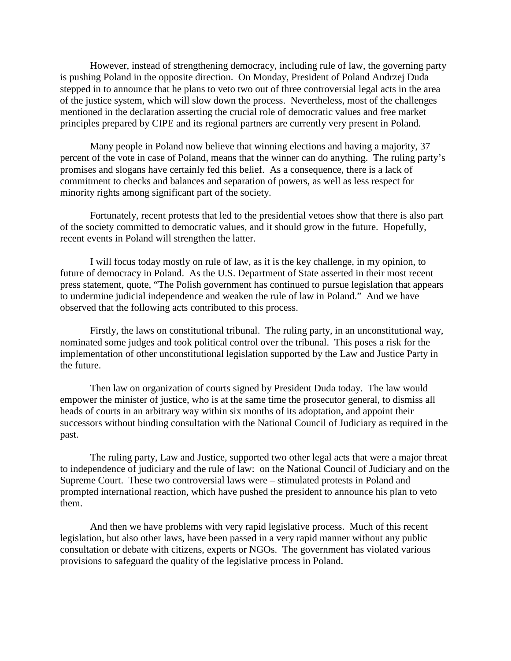However, instead of strengthening democracy, including rule of law, the governing party is pushing Poland in the opposite direction. On Monday, President of Poland Andrzej Duda stepped in to announce that he plans to veto two out of three controversial legal acts in the area of the justice system, which will slow down the process. Nevertheless, most of the challenges mentioned in the declaration asserting the crucial role of democratic values and free market principles prepared by CIPE and its regional partners are currently very present in Poland.

Many people in Poland now believe that winning elections and having a majority, 37 percent of the vote in case of Poland, means that the winner can do anything. The ruling party's promises and slogans have certainly fed this belief. As a consequence, there is a lack of commitment to checks and balances and separation of powers, as well as less respect for minority rights among significant part of the society.

Fortunately, recent protests that led to the presidential vetoes show that there is also part of the society committed to democratic values, and it should grow in the future. Hopefully, recent events in Poland will strengthen the latter.

I will focus today mostly on rule of law, as it is the key challenge, in my opinion, to future of democracy in Poland. As the U.S. Department of State asserted in their most recent press statement, quote, "The Polish government has continued to pursue legislation that appears to undermine judicial independence and weaken the rule of law in Poland." And we have observed that the following acts contributed to this process.

Firstly, the laws on constitutional tribunal. The ruling party, in an unconstitutional way, nominated some judges and took political control over the tribunal. This poses a risk for the implementation of other unconstitutional legislation supported by the Law and Justice Party in the future.

Then law on organization of courts signed by President Duda today. The law would empower the minister of justice, who is at the same time the prosecutor general, to dismiss all heads of courts in an arbitrary way within six months of its adoptation, and appoint their successors without binding consultation with the National Council of Judiciary as required in the past.

The ruling party, Law and Justice, supported two other legal acts that were a major threat to independence of judiciary and the rule of law: on the National Council of Judiciary and on the Supreme Court. These two controversial laws were – stimulated protests in Poland and prompted international reaction, which have pushed the president to announce his plan to veto them.

And then we have problems with very rapid legislative process. Much of this recent legislation, but also other laws, have been passed in a very rapid manner without any public consultation or debate with citizens, experts or NGOs. The government has violated various provisions to safeguard the quality of the legislative process in Poland.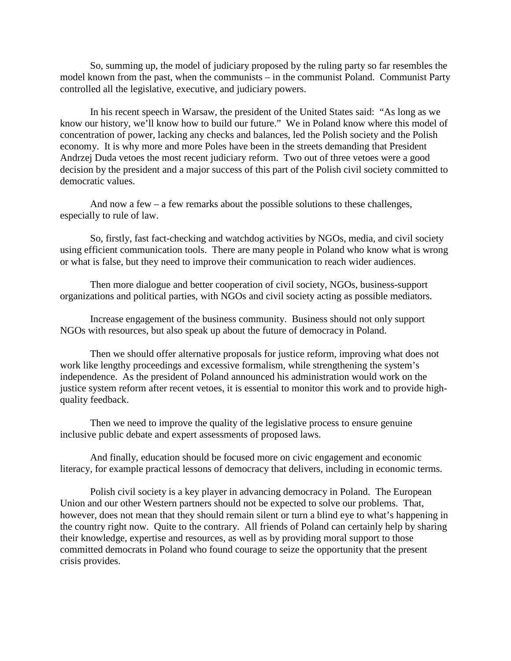So, summing up, the model of judiciary proposed by the ruling party so far resembles the model known from the past, when the communists – in the communist Poland. Communist Party controlled all the legislative, executive, and judiciary powers.

In his recent speech in Warsaw, the president of the United States said: "As long as we know our history, we'll know how to build our future." We in Poland know where this model of concentration of power, lacking any checks and balances, led the Polish society and the Polish economy. It is why more and more Poles have been in the streets demanding that President Andrzej Duda vetoes the most recent judiciary reform. Two out of three vetoes were a good decision by the president and a major success of this part of the Polish civil society committed to democratic values.

And now a few – a few remarks about the possible solutions to these challenges, especially to rule of law.

So, firstly, fast fact-checking and watchdog activities by NGOs, media, and civil society using efficient communication tools. There are many people in Poland who know what is wrong or what is false, but they need to improve their communication to reach wider audiences.

Then more dialogue and better cooperation of civil society, NGOs, business-support organizations and political parties, with NGOs and civil society acting as possible mediators.

Increase engagement of the business community. Business should not only support NGOs with resources, but also speak up about the future of democracy in Poland.

Then we should offer alternative proposals for justice reform, improving what does not work like lengthy proceedings and excessive formalism, while strengthening the system's independence. As the president of Poland announced his administration would work on the justice system reform after recent vetoes, it is essential to monitor this work and to provide highquality feedback.

Then we need to improve the quality of the legislative process to ensure genuine inclusive public debate and expert assessments of proposed laws.

And finally, education should be focused more on civic engagement and economic literacy, for example practical lessons of democracy that delivers, including in economic terms.

Polish civil society is a key player in advancing democracy in Poland. The European Union and our other Western partners should not be expected to solve our problems. That, however, does not mean that they should remain silent or turn a blind eye to what's happening in the country right now. Quite to the contrary. All friends of Poland can certainly help by sharing their knowledge, expertise and resources, as well as by providing moral support to those committed democrats in Poland who found courage to seize the opportunity that the present crisis provides.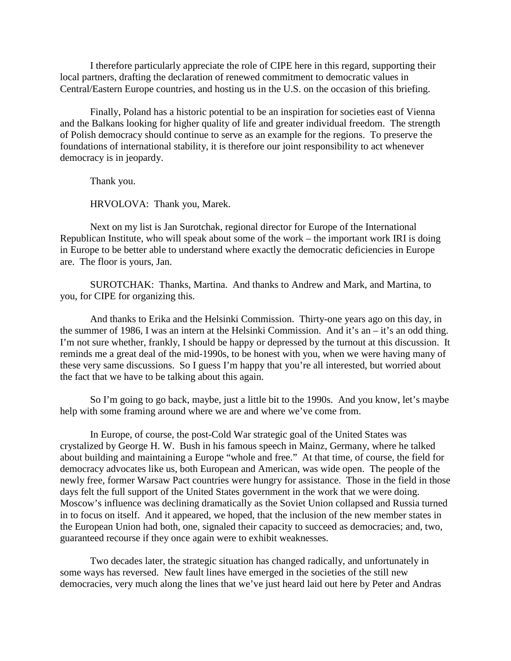I therefore particularly appreciate the role of CIPE here in this regard, supporting their local partners, drafting the declaration of renewed commitment to democratic values in Central/Eastern Europe countries, and hosting us in the U.S. on the occasion of this briefing.

Finally, Poland has a historic potential to be an inspiration for societies east of Vienna and the Balkans looking for higher quality of life and greater individual freedom. The strength of Polish democracy should continue to serve as an example for the regions. To preserve the foundations of international stability, it is therefore our joint responsibility to act whenever democracy is in jeopardy.

Thank you.

HRVOLOVA: Thank you, Marek.

Next on my list is Jan Surotchak, regional director for Europe of the International Republican Institute, who will speak about some of the work – the important work IRI is doing in Europe to be better able to understand where exactly the democratic deficiencies in Europe are. The floor is yours, Jan.

SUROTCHAK: Thanks, Martina. And thanks to Andrew and Mark, and Martina, to you, for CIPE for organizing this.

And thanks to Erika and the Helsinki Commission. Thirty-one years ago on this day, in the summer of 1986, I was an intern at the Helsinki Commission. And it's an – it's an odd thing. I'm not sure whether, frankly, I should be happy or depressed by the turnout at this discussion. It reminds me a great deal of the mid-1990s, to be honest with you, when we were having many of these very same discussions. So I guess I'm happy that you're all interested, but worried about the fact that we have to be talking about this again.

So I'm going to go back, maybe, just a little bit to the 1990s. And you know, let's maybe help with some framing around where we are and where we've come from.

In Europe, of course, the post-Cold War strategic goal of the United States was crystalized by George H. W. Bush in his famous speech in Mainz, Germany, where he talked about building and maintaining a Europe "whole and free." At that time, of course, the field for democracy advocates like us, both European and American, was wide open. The people of the newly free, former Warsaw Pact countries were hungry for assistance. Those in the field in those days felt the full support of the United States government in the work that we were doing. Moscow's influence was declining dramatically as the Soviet Union collapsed and Russia turned in to focus on itself. And it appeared, we hoped, that the inclusion of the new member states in the European Union had both, one, signaled their capacity to succeed as democracies; and, two, guaranteed recourse if they once again were to exhibit weaknesses.

Two decades later, the strategic situation has changed radically, and unfortunately in some ways has reversed. New fault lines have emerged in the societies of the still new democracies, very much along the lines that we've just heard laid out here by Peter and Andras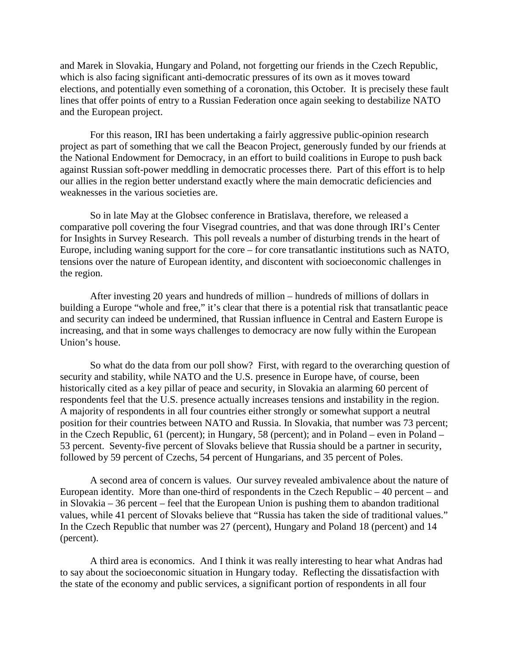and Marek in Slovakia, Hungary and Poland, not forgetting our friends in the Czech Republic, which is also facing significant anti-democratic pressures of its own as it moves toward elections, and potentially even something of a coronation, this October. It is precisely these fault lines that offer points of entry to a Russian Federation once again seeking to destabilize NATO and the European project.

For this reason, IRI has been undertaking a fairly aggressive public-opinion research project as part of something that we call the Beacon Project, generously funded by our friends at the National Endowment for Democracy, in an effort to build coalitions in Europe to push back against Russian soft-power meddling in democratic processes there. Part of this effort is to help our allies in the region better understand exactly where the main democratic deficiencies and weaknesses in the various societies are.

So in late May at the Globsec conference in Bratislava, therefore, we released a comparative poll covering the four Visegrad countries, and that was done through IRI's Center for Insights in Survey Research. This poll reveals a number of disturbing trends in the heart of Europe, including waning support for the core – for core transatlantic institutions such as NATO, tensions over the nature of European identity, and discontent with socioeconomic challenges in the region.

After investing 20 years and hundreds of million – hundreds of millions of dollars in building a Europe "whole and free," it's clear that there is a potential risk that transatlantic peace and security can indeed be undermined, that Russian influence in Central and Eastern Europe is increasing, and that in some ways challenges to democracy are now fully within the European Union's house.

So what do the data from our poll show? First, with regard to the overarching question of security and stability, while NATO and the U.S. presence in Europe have, of course, been historically cited as a key pillar of peace and security, in Slovakia an alarming 60 percent of respondents feel that the U.S. presence actually increases tensions and instability in the region. A majority of respondents in all four countries either strongly or somewhat support a neutral position for their countries between NATO and Russia. In Slovakia, that number was 73 percent; in the Czech Republic, 61 (percent); in Hungary, 58 (percent); and in Poland – even in Poland – 53 percent. Seventy-five percent of Slovaks believe that Russia should be a partner in security, followed by 59 percent of Czechs, 54 percent of Hungarians, and 35 percent of Poles.

A second area of concern is values. Our survey revealed ambivalence about the nature of European identity. More than one-third of respondents in the Czech Republic – 40 percent – and in Slovakia – 36 percent – feel that the European Union is pushing them to abandon traditional values, while 41 percent of Slovaks believe that "Russia has taken the side of traditional values." In the Czech Republic that number was 27 (percent), Hungary and Poland 18 (percent) and 14 (percent).

A third area is economics. And I think it was really interesting to hear what Andras had to say about the socioeconomic situation in Hungary today. Reflecting the dissatisfaction with the state of the economy and public services, a significant portion of respondents in all four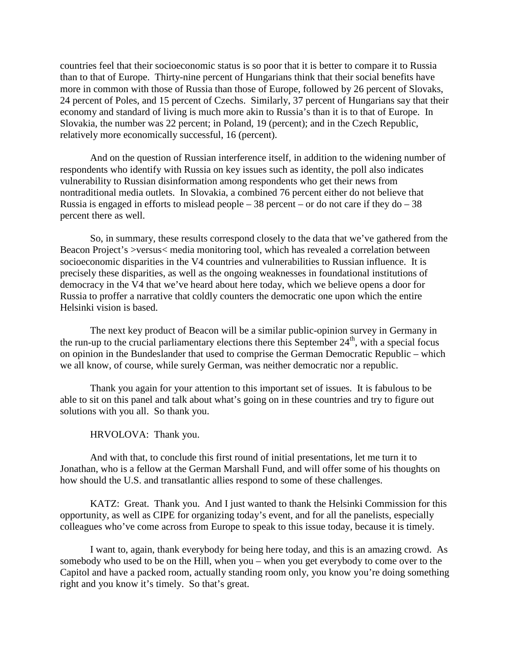countries feel that their socioeconomic status is so poor that it is better to compare it to Russia than to that of Europe. Thirty-nine percent of Hungarians think that their social benefits have more in common with those of Russia than those of Europe, followed by 26 percent of Slovaks, 24 percent of Poles, and 15 percent of Czechs. Similarly, 37 percent of Hungarians say that their economy and standard of living is much more akin to Russia's than it is to that of Europe. In Slovakia, the number was 22 percent; in Poland, 19 (percent); and in the Czech Republic, relatively more economically successful, 16 (percent).

And on the question of Russian interference itself, in addition to the widening number of respondents who identify with Russia on key issues such as identity, the poll also indicates vulnerability to Russian disinformation among respondents who get their news from nontraditional media outlets. In Slovakia, a combined 76 percent either do not believe that Russia is engaged in efforts to mislead people – 38 percent – or do not care if they do – 38 percent there as well.

So, in summary, these results correspond closely to the data that we've gathered from the Beacon Project's >versus< media monitoring tool, which has revealed a correlation between socioeconomic disparities in the V4 countries and vulnerabilities to Russian influence. It is precisely these disparities, as well as the ongoing weaknesses in foundational institutions of democracy in the V4 that we've heard about here today, which we believe opens a door for Russia to proffer a narrative that coldly counters the democratic one upon which the entire Helsinki vision is based.

The next key product of Beacon will be a similar public-opinion survey in Germany in the run-up to the crucial parliamentary elections there this September  $24<sup>th</sup>$ , with a special focus on opinion in the Bundeslander that used to comprise the German Democratic Republic – which we all know, of course, while surely German, was neither democratic nor a republic.

Thank you again for your attention to this important set of issues. It is fabulous to be able to sit on this panel and talk about what's going on in these countries and try to figure out solutions with you all. So thank you.

HRVOLOVA: Thank you.

And with that, to conclude this first round of initial presentations, let me turn it to Jonathan, who is a fellow at the German Marshall Fund, and will offer some of his thoughts on how should the U.S. and transatlantic allies respond to some of these challenges.

KATZ: Great. Thank you. And I just wanted to thank the Helsinki Commission for this opportunity, as well as CIPE for organizing today's event, and for all the panelists, especially colleagues who've come across from Europe to speak to this issue today, because it is timely.

I want to, again, thank everybody for being here today, and this is an amazing crowd. As somebody who used to be on the Hill, when you – when you get everybody to come over to the Capitol and have a packed room, actually standing room only, you know you're doing something right and you know it's timely. So that's great.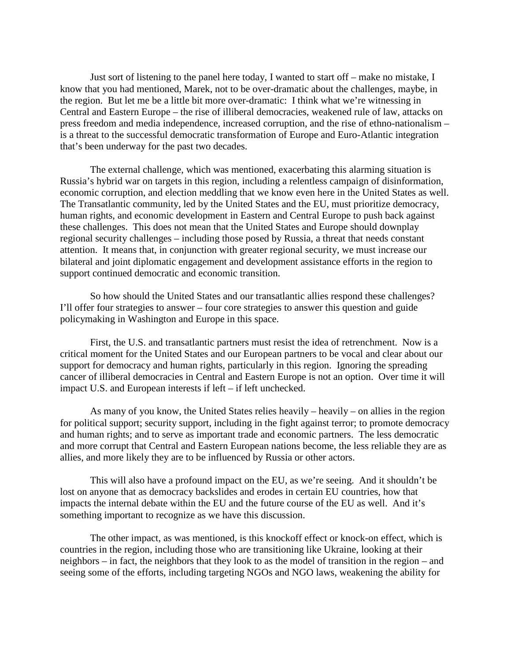Just sort of listening to the panel here today, I wanted to start off – make no mistake, I know that you had mentioned, Marek, not to be over-dramatic about the challenges, maybe, in the region. But let me be a little bit more over-dramatic: I think what we're witnessing in Central and Eastern Europe – the rise of illiberal democracies, weakened rule of law, attacks on press freedom and media independence, increased corruption, and the rise of ethno-nationalism – is a threat to the successful democratic transformation of Europe and Euro-Atlantic integration that's been underway for the past two decades.

The external challenge, which was mentioned, exacerbating this alarming situation is Russia's hybrid war on targets in this region, including a relentless campaign of disinformation, economic corruption, and election meddling that we know even here in the United States as well. The Transatlantic community, led by the United States and the EU, must prioritize democracy, human rights, and economic development in Eastern and Central Europe to push back against these challenges. This does not mean that the United States and Europe should downplay regional security challenges – including those posed by Russia, a threat that needs constant attention. It means that, in conjunction with greater regional security, we must increase our bilateral and joint diplomatic engagement and development assistance efforts in the region to support continued democratic and economic transition.

So how should the United States and our transatlantic allies respond these challenges? I'll offer four strategies to answer – four core strategies to answer this question and guide policymaking in Washington and Europe in this space.

First, the U.S. and transatlantic partners must resist the idea of retrenchment. Now is a critical moment for the United States and our European partners to be vocal and clear about our support for democracy and human rights, particularly in this region. Ignoring the spreading cancer of illiberal democracies in Central and Eastern Europe is not an option. Over time it will impact U.S. and European interests if left – if left unchecked.

As many of you know, the United States relies heavily – heavily – on allies in the region for political support; security support, including in the fight against terror; to promote democracy and human rights; and to serve as important trade and economic partners. The less democratic and more corrupt that Central and Eastern European nations become, the less reliable they are as allies, and more likely they are to be influenced by Russia or other actors.

This will also have a profound impact on the EU, as we're seeing. And it shouldn't be lost on anyone that as democracy backslides and erodes in certain EU countries, how that impacts the internal debate within the EU and the future course of the EU as well. And it's something important to recognize as we have this discussion.

The other impact, as was mentioned, is this knockoff effect or knock-on effect, which is countries in the region, including those who are transitioning like Ukraine, looking at their neighbors – in fact, the neighbors that they look to as the model of transition in the region – and seeing some of the efforts, including targeting NGOs and NGO laws, weakening the ability for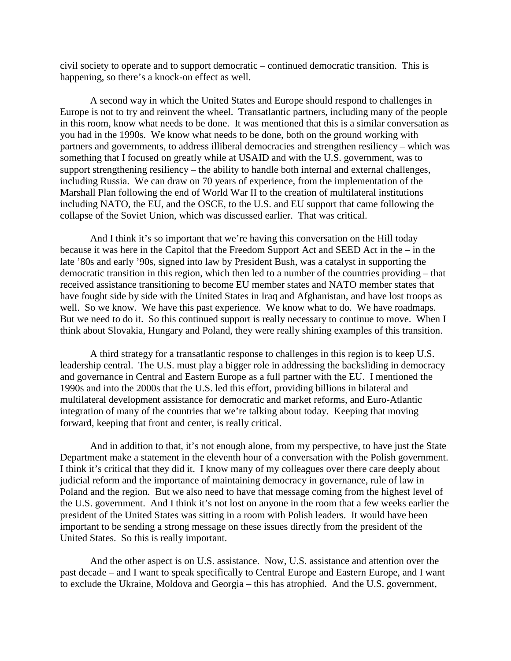civil society to operate and to support democratic – continued democratic transition. This is happening, so there's a knock-on effect as well.

A second way in which the United States and Europe should respond to challenges in Europe is not to try and reinvent the wheel. Transatlantic partners, including many of the people in this room, know what needs to be done. It was mentioned that this is a similar conversation as you had in the 1990s. We know what needs to be done, both on the ground working with partners and governments, to address illiberal democracies and strengthen resiliency – which was something that I focused on greatly while at USAID and with the U.S. government, was to support strengthening resiliency – the ability to handle both internal and external challenges, including Russia. We can draw on 70 years of experience, from the implementation of the Marshall Plan following the end of World War II to the creation of multilateral institutions including NATO, the EU, and the OSCE, to the U.S. and EU support that came following the collapse of the Soviet Union, which was discussed earlier. That was critical.

And I think it's so important that we're having this conversation on the Hill today because it was here in the Capitol that the Freedom Support Act and SEED Act in the – in the late '80s and early '90s, signed into law by President Bush, was a catalyst in supporting the democratic transition in this region, which then led to a number of the countries providing – that received assistance transitioning to become EU member states and NATO member states that have fought side by side with the United States in Iraq and Afghanistan, and have lost troops as well. So we know. We have this past experience. We know what to do. We have roadmaps. But we need to do it. So this continued support is really necessary to continue to move. When I think about Slovakia, Hungary and Poland, they were really shining examples of this transition.

A third strategy for a transatlantic response to challenges in this region is to keep U.S. leadership central. The U.S. must play a bigger role in addressing the backsliding in democracy and governance in Central and Eastern Europe as a full partner with the EU. I mentioned the 1990s and into the 2000s that the U.S. led this effort, providing billions in bilateral and multilateral development assistance for democratic and market reforms, and Euro-Atlantic integration of many of the countries that we're talking about today. Keeping that moving forward, keeping that front and center, is really critical.

And in addition to that, it's not enough alone, from my perspective, to have just the State Department make a statement in the eleventh hour of a conversation with the Polish government. I think it's critical that they did it. I know many of my colleagues over there care deeply about judicial reform and the importance of maintaining democracy in governance, rule of law in Poland and the region. But we also need to have that message coming from the highest level of the U.S. government. And I think it's not lost on anyone in the room that a few weeks earlier the president of the United States was sitting in a room with Polish leaders. It would have been important to be sending a strong message on these issues directly from the president of the United States. So this is really important.

And the other aspect is on U.S. assistance. Now, U.S. assistance and attention over the past decade – and I want to speak specifically to Central Europe and Eastern Europe, and I want to exclude the Ukraine, Moldova and Georgia – this has atrophied. And the U.S. government,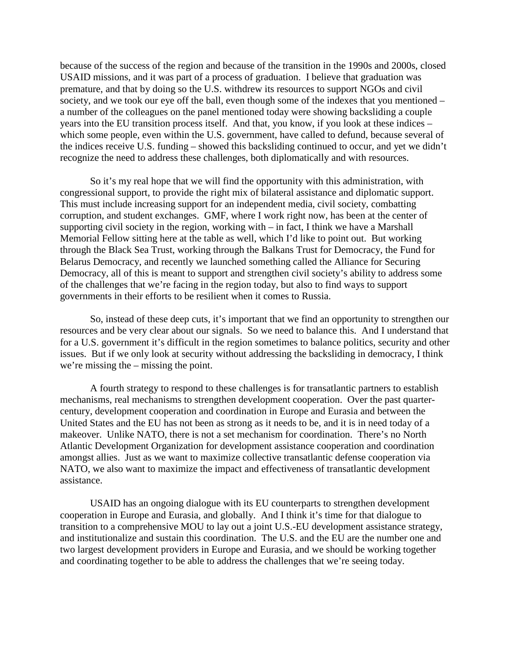because of the success of the region and because of the transition in the 1990s and 2000s, closed USAID missions, and it was part of a process of graduation. I believe that graduation was premature, and that by doing so the U.S. withdrew its resources to support NGOs and civil society, and we took our eye off the ball, even though some of the indexes that you mentioned – a number of the colleagues on the panel mentioned today were showing backsliding a couple years into the EU transition process itself. And that, you know, if you look at these indices – which some people, even within the U.S. government, have called to defund, because several of the indices receive U.S. funding – showed this backsliding continued to occur, and yet we didn't recognize the need to address these challenges, both diplomatically and with resources.

So it's my real hope that we will find the opportunity with this administration, with congressional support, to provide the right mix of bilateral assistance and diplomatic support. This must include increasing support for an independent media, civil society, combatting corruption, and student exchanges. GMF, where I work right now, has been at the center of supporting civil society in the region, working with – in fact, I think we have a Marshall Memorial Fellow sitting here at the table as well, which I'd like to point out. But working through the Black Sea Trust, working through the Balkans Trust for Democracy, the Fund for Belarus Democracy, and recently we launched something called the Alliance for Securing Democracy, all of this is meant to support and strengthen civil society's ability to address some of the challenges that we're facing in the region today, but also to find ways to support governments in their efforts to be resilient when it comes to Russia.

So, instead of these deep cuts, it's important that we find an opportunity to strengthen our resources and be very clear about our signals. So we need to balance this. And I understand that for a U.S. government it's difficult in the region sometimes to balance politics, security and other issues. But if we only look at security without addressing the backsliding in democracy, I think we're missing the – missing the point.

A fourth strategy to respond to these challenges is for transatlantic partners to establish mechanisms, real mechanisms to strengthen development cooperation. Over the past quartercentury, development cooperation and coordination in Europe and Eurasia and between the United States and the EU has not been as strong as it needs to be, and it is in need today of a makeover. Unlike NATO, there is not a set mechanism for coordination. There's no North Atlantic Development Organization for development assistance cooperation and coordination amongst allies. Just as we want to maximize collective transatlantic defense cooperation via NATO, we also want to maximize the impact and effectiveness of transatlantic development assistance.

USAID has an ongoing dialogue with its EU counterparts to strengthen development cooperation in Europe and Eurasia, and globally. And I think it's time for that dialogue to transition to a comprehensive MOU to lay out a joint U.S.-EU development assistance strategy, and institutionalize and sustain this coordination. The U.S. and the EU are the number one and two largest development providers in Europe and Eurasia, and we should be working together and coordinating together to be able to address the challenges that we're seeing today.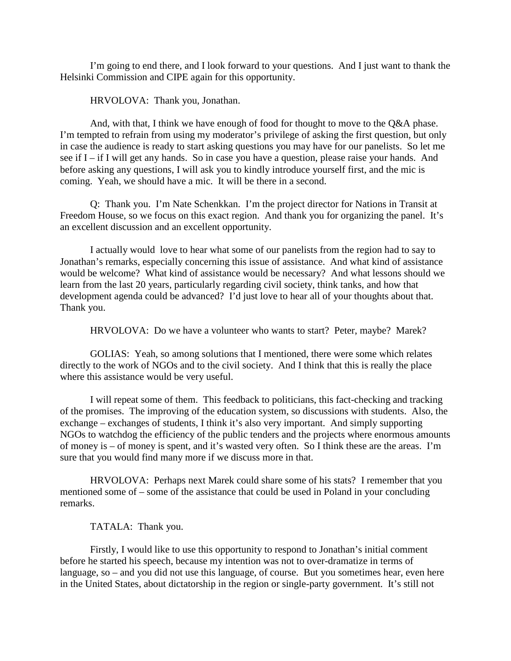I'm going to end there, and I look forward to your questions. And I just want to thank the Helsinki Commission and CIPE again for this opportunity.

HRVOLOVA: Thank you, Jonathan.

And, with that, I think we have enough of food for thought to move to the Q&A phase. I'm tempted to refrain from using my moderator's privilege of asking the first question, but only in case the audience is ready to start asking questions you may have for our panelists. So let me see if I – if I will get any hands. So in case you have a question, please raise your hands. And before asking any questions, I will ask you to kindly introduce yourself first, and the mic is coming. Yeah, we should have a mic. It will be there in a second.

Q: Thank you. I'm Nate Schenkkan. I'm the project director for Nations in Transit at Freedom House, so we focus on this exact region. And thank you for organizing the panel. It's an excellent discussion and an excellent opportunity.

I actually would love to hear what some of our panelists from the region had to say to Jonathan's remarks, especially concerning this issue of assistance. And what kind of assistance would be welcome? What kind of assistance would be necessary? And what lessons should we learn from the last 20 years, particularly regarding civil society, think tanks, and how that development agenda could be advanced? I'd just love to hear all of your thoughts about that. Thank you.

HRVOLOVA: Do we have a volunteer who wants to start? Peter, maybe? Marek?

GOLIAS: Yeah, so among solutions that I mentioned, there were some which relates directly to the work of NGOs and to the civil society. And I think that this is really the place where this assistance would be very useful.

I will repeat some of them. This feedback to politicians, this fact-checking and tracking of the promises. The improving of the education system, so discussions with students. Also, the exchange – exchanges of students, I think it's also very important. And simply supporting NGOs to watchdog the efficiency of the public tenders and the projects where enormous amounts of money is – of money is spent, and it's wasted very often. So I think these are the areas. I'm sure that you would find many more if we discuss more in that.

HRVOLOVA: Perhaps next Marek could share some of his stats? I remember that you mentioned some of – some of the assistance that could be used in Poland in your concluding remarks.

TATALA: Thank you.

Firstly, I would like to use this opportunity to respond to Jonathan's initial comment before he started his speech, because my intention was not to over-dramatize in terms of language, so – and you did not use this language, of course. But you sometimes hear, even here in the United States, about dictatorship in the region or single-party government. It's still not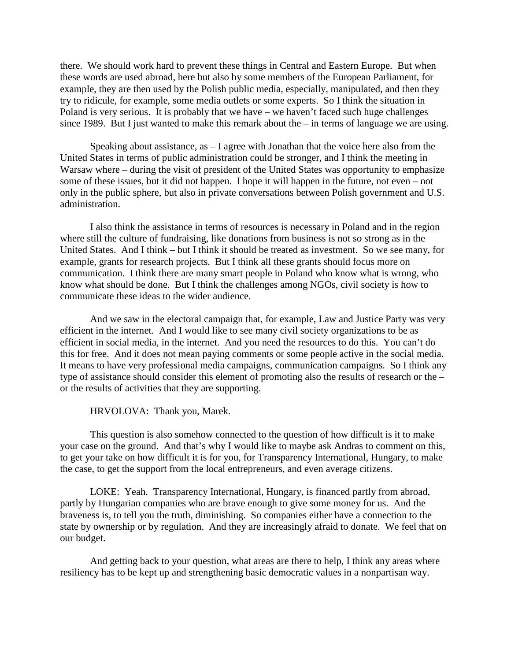there. We should work hard to prevent these things in Central and Eastern Europe. But when these words are used abroad, here but also by some members of the European Parliament, for example, they are then used by the Polish public media, especially, manipulated, and then they try to ridicule, for example, some media outlets or some experts. So I think the situation in Poland is very serious. It is probably that we have – we haven't faced such huge challenges since 1989. But I just wanted to make this remark about the – in terms of language we are using.

Speaking about assistance, as  $-1$  agree with Jonathan that the voice here also from the United States in terms of public administration could be stronger, and I think the meeting in Warsaw where – during the visit of president of the United States was opportunity to emphasize some of these issues, but it did not happen. I hope it will happen in the future, not even – not only in the public sphere, but also in private conversations between Polish government and U.S. administration.

I also think the assistance in terms of resources is necessary in Poland and in the region where still the culture of fundraising, like donations from business is not so strong as in the United States. And I think – but I think it should be treated as investment. So we see many, for example, grants for research projects. But I think all these grants should focus more on communication. I think there are many smart people in Poland who know what is wrong, who know what should be done. But I think the challenges among NGOs, civil society is how to communicate these ideas to the wider audience.

And we saw in the electoral campaign that, for example, Law and Justice Party was very efficient in the internet. And I would like to see many civil society organizations to be as efficient in social media, in the internet. And you need the resources to do this. You can't do this for free. And it does not mean paying comments or some people active in the social media. It means to have very professional media campaigns, communication campaigns. So I think any type of assistance should consider this element of promoting also the results of research or the – or the results of activities that they are supporting.

HRVOLOVA: Thank you, Marek.

This question is also somehow connected to the question of how difficult is it to make your case on the ground. And that's why I would like to maybe ask Andras to comment on this, to get your take on how difficult it is for you, for Transparency International, Hungary, to make the case, to get the support from the local entrepreneurs, and even average citizens.

LOKE: Yeah. Transparency International, Hungary, is financed partly from abroad, partly by Hungarian companies who are brave enough to give some money for us. And the braveness is, to tell you the truth, diminishing. So companies either have a connection to the state by ownership or by regulation. And they are increasingly afraid to donate. We feel that on our budget.

And getting back to your question, what areas are there to help, I think any areas where resiliency has to be kept up and strengthening basic democratic values in a nonpartisan way.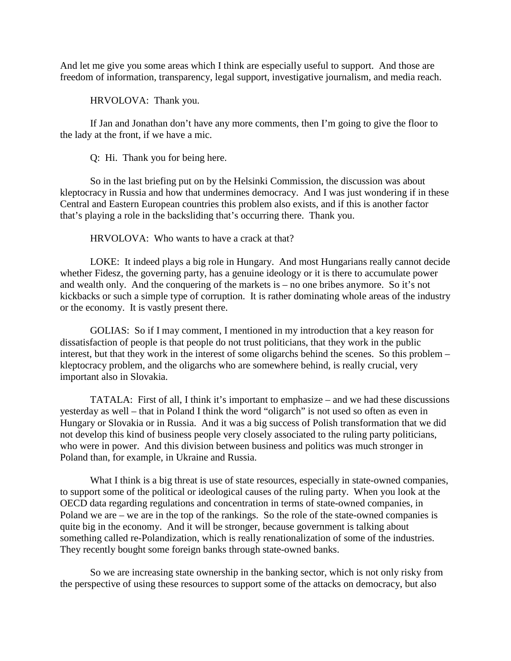And let me give you some areas which I think are especially useful to support. And those are freedom of information, transparency, legal support, investigative journalism, and media reach.

HRVOLOVA: Thank you.

If Jan and Jonathan don't have any more comments, then I'm going to give the floor to the lady at the front, if we have a mic.

Q: Hi. Thank you for being here.

So in the last briefing put on by the Helsinki Commission, the discussion was about kleptocracy in Russia and how that undermines democracy. And I was just wondering if in these Central and Eastern European countries this problem also exists, and if this is another factor that's playing a role in the backsliding that's occurring there. Thank you.

HRVOLOVA: Who wants to have a crack at that?

LOKE: It indeed plays a big role in Hungary. And most Hungarians really cannot decide whether Fidesz, the governing party, has a genuine ideology or it is there to accumulate power and wealth only. And the conquering of the markets is – no one bribes anymore. So it's not kickbacks or such a simple type of corruption. It is rather dominating whole areas of the industry or the economy. It is vastly present there.

GOLIAS: So if I may comment, I mentioned in my introduction that a key reason for dissatisfaction of people is that people do not trust politicians, that they work in the public interest, but that they work in the interest of some oligarchs behind the scenes. So this problem – kleptocracy problem, and the oligarchs who are somewhere behind, is really crucial, very important also in Slovakia.

TATALA: First of all, I think it's important to emphasize – and we had these discussions yesterday as well – that in Poland I think the word "oligarch" is not used so often as even in Hungary or Slovakia or in Russia. And it was a big success of Polish transformation that we did not develop this kind of business people very closely associated to the ruling party politicians, who were in power. And this division between business and politics was much stronger in Poland than, for example, in Ukraine and Russia.

What I think is a big threat is use of state resources, especially in state-owned companies, to support some of the political or ideological causes of the ruling party. When you look at the OECD data regarding regulations and concentration in terms of state-owned companies, in Poland we are – we are in the top of the rankings. So the role of the state-owned companies is quite big in the economy. And it will be stronger, because government is talking about something called re-Polandization, which is really renationalization of some of the industries. They recently bought some foreign banks through state-owned banks.

So we are increasing state ownership in the banking sector, which is not only risky from the perspective of using these resources to support some of the attacks on democracy, but also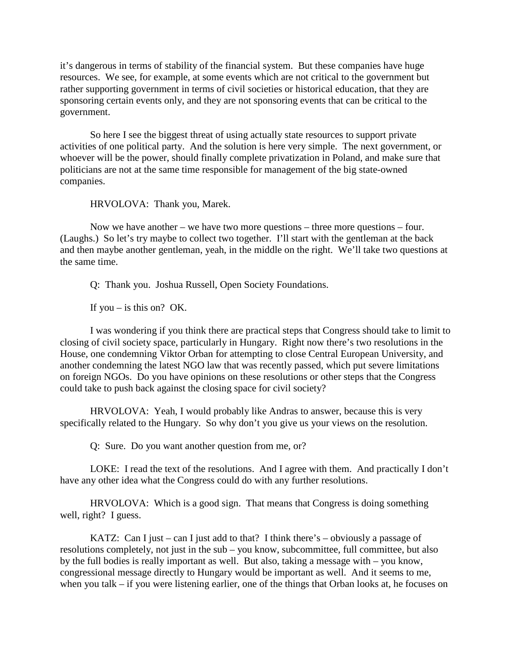it's dangerous in terms of stability of the financial system. But these companies have huge resources. We see, for example, at some events which are not critical to the government but rather supporting government in terms of civil societies or historical education, that they are sponsoring certain events only, and they are not sponsoring events that can be critical to the government.

So here I see the biggest threat of using actually state resources to support private activities of one political party. And the solution is here very simple. The next government, or whoever will be the power, should finally complete privatization in Poland, and make sure that politicians are not at the same time responsible for management of the big state-owned companies.

HRVOLOVA: Thank you, Marek.

Now we have another – we have two more questions – three more questions – four. (Laughs.) So let's try maybe to collect two together. I'll start with the gentleman at the back and then maybe another gentleman, yeah, in the middle on the right. We'll take two questions at the same time.

Q: Thank you. Joshua Russell, Open Society Foundations.

If you – is this on? OK.

I was wondering if you think there are practical steps that Congress should take to limit to closing of civil society space, particularly in Hungary. Right now there's two resolutions in the House, one condemning Viktor Orban for attempting to close Central European University, and another condemning the latest NGO law that was recently passed, which put severe limitations on foreign NGOs. Do you have opinions on these resolutions or other steps that the Congress could take to push back against the closing space for civil society?

HRVOLOVA: Yeah, I would probably like Andras to answer, because this is very specifically related to the Hungary. So why don't you give us your views on the resolution.

Q: Sure. Do you want another question from me, or?

LOKE: I read the text of the resolutions. And I agree with them. And practically I don't have any other idea what the Congress could do with any further resolutions.

HRVOLOVA: Which is a good sign. That means that Congress is doing something well, right? I guess.

KATZ: Can I just – can I just add to that? I think there's – obviously a passage of resolutions completely, not just in the sub – you know, subcommittee, full committee, but also by the full bodies is really important as well. But also, taking a message with – you know, congressional message directly to Hungary would be important as well. And it seems to me, when you talk – if you were listening earlier, one of the things that Orban looks at, he focuses on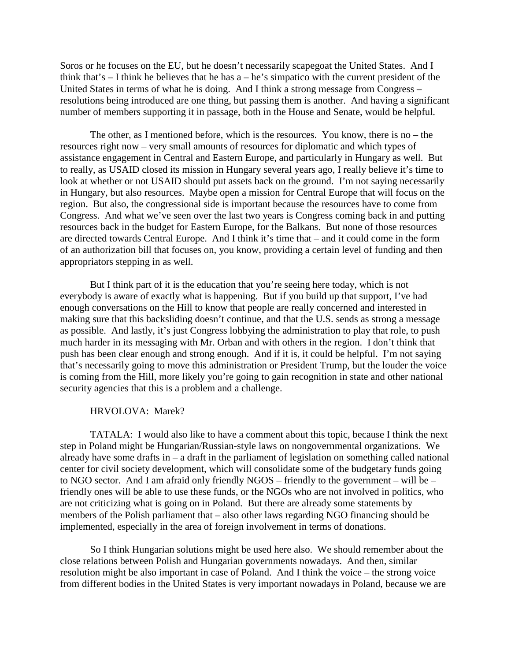Soros or he focuses on the EU, but he doesn't necessarily scapegoat the United States. And I think that's  $-$  I think he believes that he has  $a - he$ 's simpatico with the current president of the United States in terms of what he is doing. And I think a strong message from Congress – resolutions being introduced are one thing, but passing them is another. And having a significant number of members supporting it in passage, both in the House and Senate, would be helpful.

The other, as I mentioned before, which is the resources. You know, there is no – the resources right now – very small amounts of resources for diplomatic and which types of assistance engagement in Central and Eastern Europe, and particularly in Hungary as well. But to really, as USAID closed its mission in Hungary several years ago, I really believe it's time to look at whether or not USAID should put assets back on the ground. I'm not saying necessarily in Hungary, but also resources. Maybe open a mission for Central Europe that will focus on the region. But also, the congressional side is important because the resources have to come from Congress. And what we've seen over the last two years is Congress coming back in and putting resources back in the budget for Eastern Europe, for the Balkans. But none of those resources are directed towards Central Europe. And I think it's time that – and it could come in the form of an authorization bill that focuses on, you know, providing a certain level of funding and then appropriators stepping in as well.

But I think part of it is the education that you're seeing here today, which is not everybody is aware of exactly what is happening. But if you build up that support, I've had enough conversations on the Hill to know that people are really concerned and interested in making sure that this backsliding doesn't continue, and that the U.S. sends as strong a message as possible. And lastly, it's just Congress lobbying the administration to play that role, to push much harder in its messaging with Mr. Orban and with others in the region. I don't think that push has been clear enough and strong enough. And if it is, it could be helpful. I'm not saying that's necessarily going to move this administration or President Trump, but the louder the voice is coming from the Hill, more likely you're going to gain recognition in state and other national security agencies that this is a problem and a challenge.

## HRVOLOVA: Marek?

TATALA: I would also like to have a comment about this topic, because I think the next step in Poland might be Hungarian/Russian-style laws on nongovernmental organizations. We already have some drafts in  $-$  a draft in the parliament of legislation on something called national center for civil society development, which will consolidate some of the budgetary funds going to NGO sector. And I am afraid only friendly NGOS – friendly to the government – will be – friendly ones will be able to use these funds, or the NGOs who are not involved in politics, who are not criticizing what is going on in Poland. But there are already some statements by members of the Polish parliament that – also other laws regarding NGO financing should be implemented, especially in the area of foreign involvement in terms of donations.

So I think Hungarian solutions might be used here also. We should remember about the close relations between Polish and Hungarian governments nowadays. And then, similar resolution might be also important in case of Poland. And I think the voice – the strong voice from different bodies in the United States is very important nowadays in Poland, because we are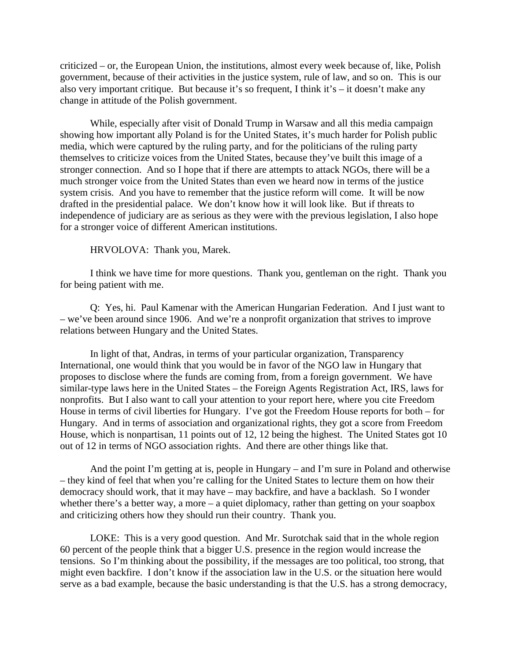criticized – or, the European Union, the institutions, almost every week because of, like, Polish government, because of their activities in the justice system, rule of law, and so on. This is our also very important critique. But because it's so frequent, I think it's – it doesn't make any change in attitude of the Polish government.

While, especially after visit of Donald Trump in Warsaw and all this media campaign showing how important ally Poland is for the United States, it's much harder for Polish public media, which were captured by the ruling party, and for the politicians of the ruling party themselves to criticize voices from the United States, because they've built this image of a stronger connection. And so I hope that if there are attempts to attack NGOs, there will be a much stronger voice from the United States than even we heard now in terms of the justice system crisis. And you have to remember that the justice reform will come. It will be now drafted in the presidential palace. We don't know how it will look like. But if threats to independence of judiciary are as serious as they were with the previous legislation, I also hope for a stronger voice of different American institutions.

HRVOLOVA: Thank you, Marek.

I think we have time for more questions. Thank you, gentleman on the right. Thank you for being patient with me.

Q: Yes, hi. Paul Kamenar with the American Hungarian Federation. And I just want to – we've been around since 1906. And we're a nonprofit organization that strives to improve relations between Hungary and the United States.

In light of that, Andras, in terms of your particular organization, Transparency International, one would think that you would be in favor of the NGO law in Hungary that proposes to disclose where the funds are coming from, from a foreign government. We have similar-type laws here in the United States – the Foreign Agents Registration Act, IRS, laws for nonprofits. But I also want to call your attention to your report here, where you cite Freedom House in terms of civil liberties for Hungary. I've got the Freedom House reports for both – for Hungary. And in terms of association and organizational rights, they got a score from Freedom House, which is nonpartisan, 11 points out of 12, 12 being the highest. The United States got 10 out of 12 in terms of NGO association rights. And there are other things like that.

And the point I'm getting at is, people in Hungary – and I'm sure in Poland and otherwise – they kind of feel that when you're calling for the United States to lecture them on how their democracy should work, that it may have – may backfire, and have a backlash. So I wonder whether there's a better way, a more – a quiet diplomacy, rather than getting on your soapbox and criticizing others how they should run their country. Thank you.

LOKE: This is a very good question. And Mr. Surotchak said that in the whole region 60 percent of the people think that a bigger U.S. presence in the region would increase the tensions. So I'm thinking about the possibility, if the messages are too political, too strong, that might even backfire. I don't know if the association law in the U.S. or the situation here would serve as a bad example, because the basic understanding is that the U.S. has a strong democracy,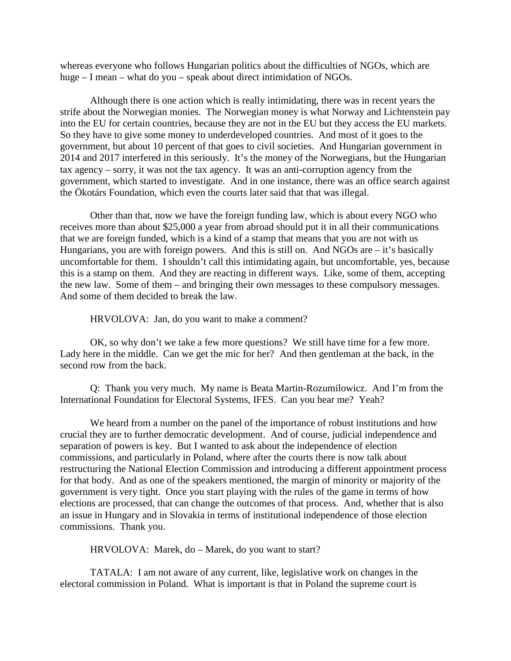whereas everyone who follows Hungarian politics about the difficulties of NGOs, which are huge – I mean – what do you – speak about direct intimidation of NGOs.

Although there is one action which is really intimidating, there was in recent years the strife about the Norwegian monies. The Norwegian money is what Norway and Lichtenstein pay into the EU for certain countries, because they are not in the EU but they access the EU markets. So they have to give some money to underdeveloped countries. And most of it goes to the government, but about 10 percent of that goes to civil societies. And Hungarian government in 2014 and 2017 interfered in this seriously. It's the money of the Norwegians, but the Hungarian tax agency – sorry, it was not the tax agency. It was an anti-corruption agency from the government, which started to investigate. And in one instance, there was an office search against the Ökotárs Foundation, which even the courts later said that that was illegal.

Other than that, now we have the foreign funding law, which is about every NGO who receives more than about \$25,000 a year from abroad should put it in all their communications that we are foreign funded, which is a kind of a stamp that means that you are not with us Hungarians, you are with foreign powers. And this is still on. And NGOs are  $-$  it's basically uncomfortable for them. I shouldn't call this intimidating again, but uncomfortable, yes, because this is a stamp on them. And they are reacting in different ways. Like, some of them, accepting the new law. Some of them – and bringing their own messages to these compulsory messages. And some of them decided to break the law.

HRVOLOVA: Jan, do you want to make a comment?

OK, so why don't we take a few more questions? We still have time for a few more. Lady here in the middle. Can we get the mic for her? And then gentleman at the back, in the second row from the back.

Q: Thank you very much. My name is Beata Martin-Rozumilowicz. And I'm from the International Foundation for Electoral Systems, IFES. Can you hear me? Yeah?

We heard from a number on the panel of the importance of robust institutions and how crucial they are to further democratic development. And of course, judicial independence and separation of powers is key. But I wanted to ask about the independence of election commissions, and particularly in Poland, where after the courts there is now talk about restructuring the National Election Commission and introducing a different appointment process for that body. And as one of the speakers mentioned, the margin of minority or majority of the government is very tight. Once you start playing with the rules of the game in terms of how elections are processed, that can change the outcomes of that process. And, whether that is also an issue in Hungary and in Slovakia in terms of institutional independence of those election commissions. Thank you.

HRVOLOVA: Marek, do – Marek, do you want to start?

TATALA: I am not aware of any current, like, legislative work on changes in the electoral commission in Poland. What is important is that in Poland the supreme court is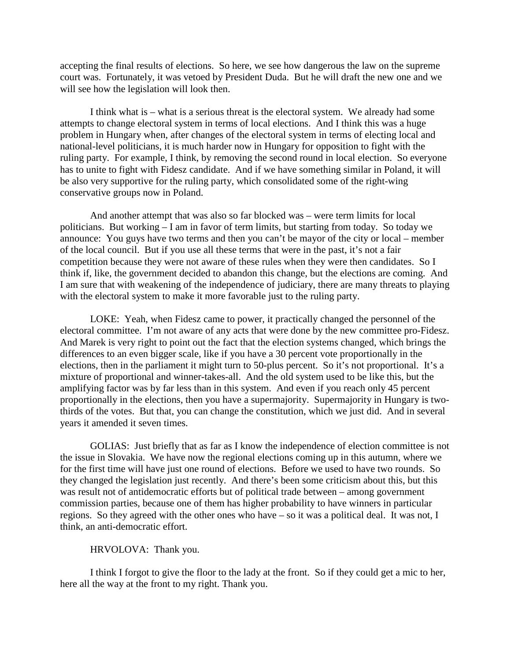accepting the final results of elections. So here, we see how dangerous the law on the supreme court was. Fortunately, it was vetoed by President Duda. But he will draft the new one and we will see how the legislation will look then.

I think what is – what is a serious threat is the electoral system. We already had some attempts to change electoral system in terms of local elections. And I think this was a huge problem in Hungary when, after changes of the electoral system in terms of electing local and national-level politicians, it is much harder now in Hungary for opposition to fight with the ruling party. For example, I think, by removing the second round in local election. So everyone has to unite to fight with Fidesz candidate. And if we have something similar in Poland, it will be also very supportive for the ruling party, which consolidated some of the right-wing conservative groups now in Poland.

And another attempt that was also so far blocked was – were term limits for local politicians. But working – I am in favor of term limits, but starting from today. So today we announce: You guys have two terms and then you can't be mayor of the city or local – member of the local council. But if you use all these terms that were in the past, it's not a fair competition because they were not aware of these rules when they were then candidates. So I think if, like, the government decided to abandon this change, but the elections are coming. And I am sure that with weakening of the independence of judiciary, there are many threats to playing with the electoral system to make it more favorable just to the ruling party.

LOKE: Yeah, when Fidesz came to power, it practically changed the personnel of the electoral committee. I'm not aware of any acts that were done by the new committee pro-Fidesz. And Marek is very right to point out the fact that the election systems changed, which brings the differences to an even bigger scale, like if you have a 30 percent vote proportionally in the elections, then in the parliament it might turn to 50-plus percent. So it's not proportional. It's a mixture of proportional and winner-takes-all. And the old system used to be like this, but the amplifying factor was by far less than in this system. And even if you reach only 45 percent proportionally in the elections, then you have a supermajority. Supermajority in Hungary is twothirds of the votes. But that, you can change the constitution, which we just did. And in several years it amended it seven times.

GOLIAS: Just briefly that as far as I know the independence of election committee is not the issue in Slovakia. We have now the regional elections coming up in this autumn, where we for the first time will have just one round of elections. Before we used to have two rounds. So they changed the legislation just recently. And there's been some criticism about this, but this was result not of antidemocratic efforts but of political trade between – among government commission parties, because one of them has higher probability to have winners in particular regions. So they agreed with the other ones who have – so it was a political deal. It was not, I think, an anti-democratic effort.

## HRVOLOVA: Thank you.

I think I forgot to give the floor to the lady at the front. So if they could get a mic to her, here all the way at the front to my right. Thank you.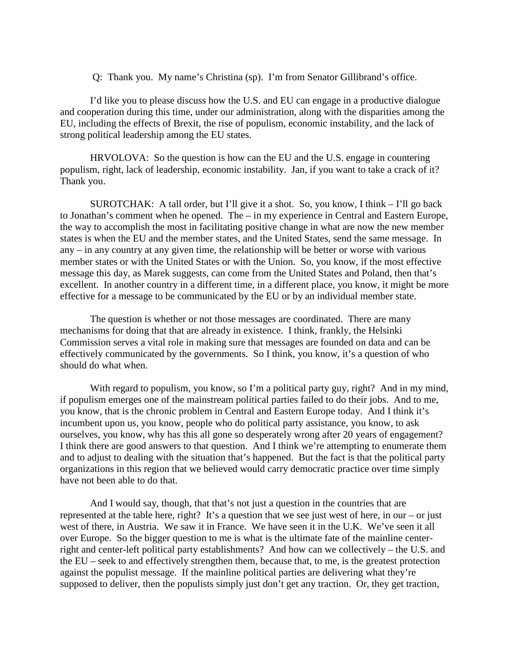Q: Thank you. My name's Christina (sp). I'm from Senator Gillibrand's office.

I'd like you to please discuss how the U.S. and EU can engage in a productive dialogue and cooperation during this time, under our administration, along with the disparities among the EU, including the effects of Brexit, the rise of populism, economic instability, and the lack of strong political leadership among the EU states.

HRVOLOVA: So the question is how can the EU and the U.S. engage in countering populism, right, lack of leadership, economic instability. Jan, if you want to take a crack of it? Thank you.

SUROTCHAK: A tall order, but I'll give it a shot. So, you know, I think – I'll go back to Jonathan's comment when he opened. The – in my experience in Central and Eastern Europe, the way to accomplish the most in facilitating positive change in what are now the new member states is when the EU and the member states, and the United States, send the same message. In any – in any country at any given time, the relationship will be better or worse with various member states or with the United States or with the Union. So, you know, if the most effective message this day, as Marek suggests, can come from the United States and Poland, then that's excellent. In another country in a different time, in a different place, you know, it might be more effective for a message to be communicated by the EU or by an individual member state.

The question is whether or not those messages are coordinated. There are many mechanisms for doing that that are already in existence. I think, frankly, the Helsinki Commission serves a vital role in making sure that messages are founded on data and can be effectively communicated by the governments. So I think, you know, it's a question of who should do what when.

With regard to populism, you know, so I'm a political party guy, right? And in my mind, if populism emerges one of the mainstream political parties failed to do their jobs. And to me, you know, that is the chronic problem in Central and Eastern Europe today. And I think it's incumbent upon us, you know, people who do political party assistance, you know, to ask ourselves, you know, why has this all gone so desperately wrong after 20 years of engagement? I think there are good answers to that question. And I think we're attempting to enumerate them and to adjust to dealing with the situation that's happened. But the fact is that the political party organizations in this region that we believed would carry democratic practice over time simply have not been able to do that.

And I would say, though, that that's not just a question in the countries that are represented at the table here, right? It's a question that we see just west of here, in our – or just west of there, in Austria. We saw it in France. We have seen it in the U.K. We've seen it all over Europe. So the bigger question to me is what is the ultimate fate of the mainline centerright and center-left political party establishments? And how can we collectively – the U.S. and the EU – seek to and effectively strengthen them, because that, to me, is the greatest protection against the populist message. If the mainline political parties are delivering what they're supposed to deliver, then the populists simply just don't get any traction. Or, they get traction,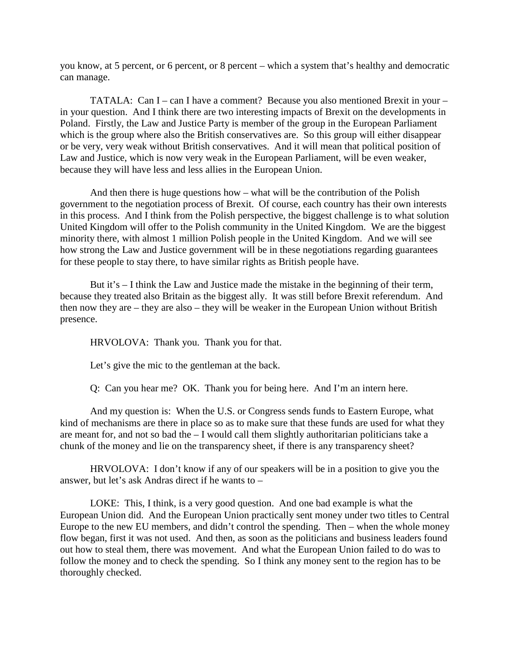you know, at 5 percent, or 6 percent, or 8 percent – which a system that's healthy and democratic can manage.

TATALA: Can I – can I have a comment? Because you also mentioned Brexit in your – in your question. And I think there are two interesting impacts of Brexit on the developments in Poland. Firstly, the Law and Justice Party is member of the group in the European Parliament which is the group where also the British conservatives are. So this group will either disappear or be very, very weak without British conservatives. And it will mean that political position of Law and Justice, which is now very weak in the European Parliament, will be even weaker, because they will have less and less allies in the European Union.

And then there is huge questions how – what will be the contribution of the Polish government to the negotiation process of Brexit. Of course, each country has their own interests in this process. And I think from the Polish perspective, the biggest challenge is to what solution United Kingdom will offer to the Polish community in the United Kingdom. We are the biggest minority there, with almost 1 million Polish people in the United Kingdom. And we will see how strong the Law and Justice government will be in these negotiations regarding guarantees for these people to stay there, to have similar rights as British people have.

But it's – I think the Law and Justice made the mistake in the beginning of their term, because they treated also Britain as the biggest ally. It was still before Brexit referendum. And then now they are – they are also – they will be weaker in the European Union without British presence.

HRVOLOVA: Thank you. Thank you for that.

Let's give the mic to the gentleman at the back.

Q: Can you hear me? OK. Thank you for being here. And I'm an intern here.

And my question is: When the U.S. or Congress sends funds to Eastern Europe, what kind of mechanisms are there in place so as to make sure that these funds are used for what they are meant for, and not so bad the – I would call them slightly authoritarian politicians take a chunk of the money and lie on the transparency sheet, if there is any transparency sheet?

HRVOLOVA: I don't know if any of our speakers will be in a position to give you the answer, but let's ask Andras direct if he wants to –

LOKE: This, I think, is a very good question. And one bad example is what the European Union did. And the European Union practically sent money under two titles to Central Europe to the new EU members, and didn't control the spending. Then – when the whole money flow began, first it was not used. And then, as soon as the politicians and business leaders found out how to steal them, there was movement. And what the European Union failed to do was to follow the money and to check the spending. So I think any money sent to the region has to be thoroughly checked.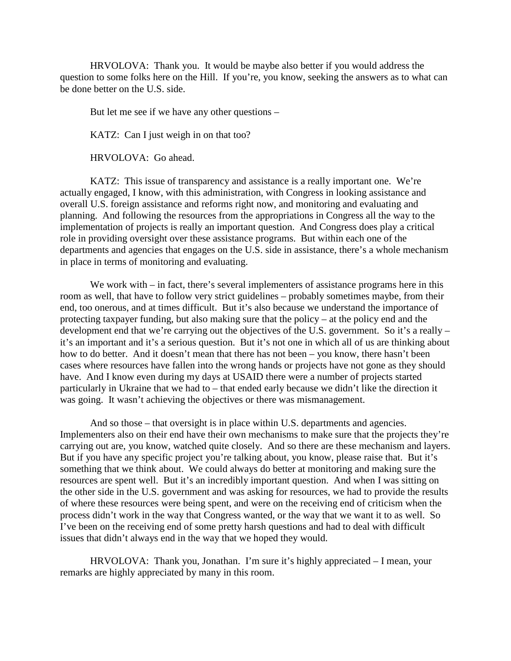HRVOLOVA: Thank you. It would be maybe also better if you would address the question to some folks here on the Hill. If you're, you know, seeking the answers as to what can be done better on the U.S. side.

But let me see if we have any other questions –

KATZ: Can I just weigh in on that too?

HRVOLOVA: Go ahead.

KATZ: This issue of transparency and assistance is a really important one. We're actually engaged, I know, with this administration, with Congress in looking assistance and overall U.S. foreign assistance and reforms right now, and monitoring and evaluating and planning. And following the resources from the appropriations in Congress all the way to the implementation of projects is really an important question. And Congress does play a critical role in providing oversight over these assistance programs. But within each one of the departments and agencies that engages on the U.S. side in assistance, there's a whole mechanism in place in terms of monitoring and evaluating.

We work with – in fact, there's several implementers of assistance programs here in this room as well, that have to follow very strict guidelines – probably sometimes maybe, from their end, too onerous, and at times difficult. But it's also because we understand the importance of protecting taxpayer funding, but also making sure that the policy – at the policy end and the development end that we're carrying out the objectives of the U.S. government. So it's a really – it's an important and it's a serious question. But it's not one in which all of us are thinking about how to do better. And it doesn't mean that there has not been – you know, there hasn't been cases where resources have fallen into the wrong hands or projects have not gone as they should have. And I know even during my days at USAID there were a number of projects started particularly in Ukraine that we had to – that ended early because we didn't like the direction it was going. It wasn't achieving the objectives or there was mismanagement.

And so those – that oversight is in place within U.S. departments and agencies. Implementers also on their end have their own mechanisms to make sure that the projects they're carrying out are, you know, watched quite closely. And so there are these mechanism and layers. But if you have any specific project you're talking about, you know, please raise that. But it's something that we think about. We could always do better at monitoring and making sure the resources are spent well. But it's an incredibly important question. And when I was sitting on the other side in the U.S. government and was asking for resources, we had to provide the results of where these resources were being spent, and were on the receiving end of criticism when the process didn't work in the way that Congress wanted, or the way that we want it to as well. So I've been on the receiving end of some pretty harsh questions and had to deal with difficult issues that didn't always end in the way that we hoped they would.

HRVOLOVA: Thank you, Jonathan. I'm sure it's highly appreciated – I mean, your remarks are highly appreciated by many in this room.